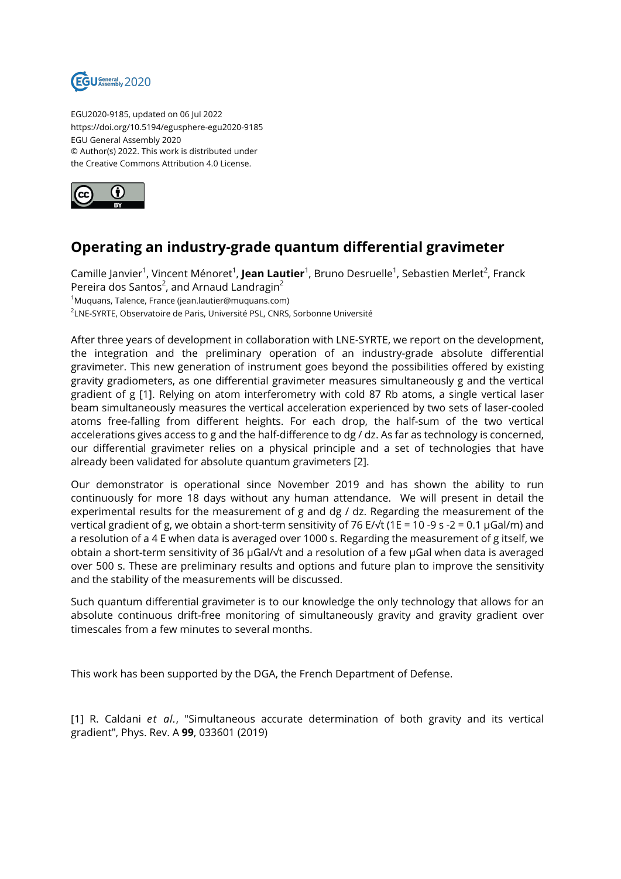

EGU2020-9185, updated on 06 Jul 2022 https://doi.org/10.5194/egusphere-egu2020-9185 EGU General Assembly 2020 © Author(s) 2022. This work is distributed under the Creative Commons Attribution 4.0 License.



## **Operating an industry-grade quantum differential gravimeter**

Camille Janvier<sup>1</sup>, Vincent Ménoret<sup>1</sup>, **Jean Lautier**<sup>1</sup>, Bruno Desruelle<sup>1</sup>, Sebastien Merlet<sup>2</sup>, Franck Pereira dos Santos $^2$ , and Arnaud Landragin $^2$ <sup>1</sup>Muquans, Talence, France (jean.lautier@muquans.com) 2 LNE-SYRTE, Observatoire de Paris, Université PSL, CNRS, Sorbonne Université

After three years of development in collaboration with LNE-SYRTE, we report on the development, the integration and the preliminary operation of an industry-grade absolute differential gravimeter. This new generation of instrument goes beyond the possibilities offered by existing gravity gradiometers, as one differential gravimeter measures simultaneously g and the vertical gradient of g [1]. Relying on atom interferometry with cold 87 Rb atoms, a single vertical laser beam simultaneously measures the vertical acceleration experienced by two sets of laser-cooled atoms free-falling from different heights. For each drop, the half-sum of the two vertical accelerations gives access to g and the half-difference to dg / dz. As far as technology is concerned, our differential gravimeter relies on a physical principle and a set of technologies that have already been validated for absolute quantum gravimeters [2].

Our demonstrator is operational since November 2019 and has shown the ability to run continuously for more 18 days without any human attendance. We will present in detail the experimental results for the measurement of g and dg / dz. Regarding the measurement of the vertical gradient of g, we obtain a short-term sensitivity of 76 E/√t (1E = 10 -9 s -2 = 0.1 µGal/m) and a resolution of a 4 E when data is averaged over 1000 s. Regarding the measurement of g itself, we obtain a short-term sensitivity of 36 µGal/√t and a resolution of a few µGal when data is averaged over 500 s. These are preliminary results and options and future plan to improve the sensitivity and the stability of the measurements will be discussed.

Such quantum differential gravimeter is to our knowledge the only technology that allows for an absolute continuous drift-free monitoring of simultaneously gravity and gravity gradient over timescales from a few minutes to several months.

This work has been supported by the DGA, the French Department of Defense.

[1] R. Caldani *et al.*, "Simultaneous accurate determination of both gravity and its vertical gradient", Phys. Rev. A **99**, 033601 (2019)